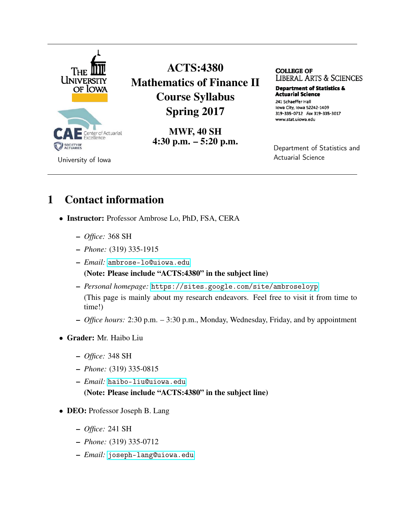

ACTS:4380 Mathematics of Finance II Course Syllabus Spring 2017

> MWF, 40 SH 4:30 p.m. – 5:20 p.m.

**COLLEGE OF LIBERAL ARTS & SCIENCES** 

**Department of Statistics & Actuarial Science** 241 Schaeffer Hall Iowa City, Iowa 52242-1409 319-335-0712 Fax 319-335-3017 www.stat.uiowa.edu

Department of Statistics and Actuarial Science

### 1 Contact information

- Instructor: Professor Ambrose Lo, PhD, FSA, CERA
	- *Office:* 368 SH
	- *Phone:* (319) 335-1915
	- *Email:* <ambrose-lo@uiowa.edu> (Note: Please include "ACTS:4380" in the subject line)
	- *Personal homepage:* <https://sites.google.com/site/ambroseloyp> (This page is mainly about my research endeavors. Feel free to visit it from time to time!)
	- *Office hours:* 2:30 p.m. 3:30 p.m., Monday, Wednesday, Friday, and by appointment
- Grader: Mr. Haibo Liu
	- *Office:* 348 SH
	- *Phone:* (319) 335-0815
	- *Email:* <haibo-liu@uiowa.edu> (Note: Please include "ACTS:4380" in the subject line)
- DEO: Professor Joseph B. Lang
	- *Office:* 241 SH
	- *Phone:* (319) 335-0712
	- *Email:* <joseph-lang@uiowa.edu>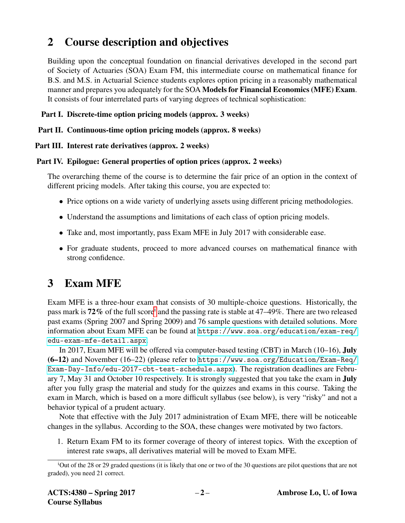## 2 Course description and objectives

Building upon the conceptual foundation on financial derivatives developed in the second part of Society of Actuaries (SOA) Exam FM, this intermediate course on mathematical finance for B.S. and M.S. in Actuarial Science students explores option pricing in a reasonably mathematical manner and prepares you adequately for the SOA Models for Financial Economics (MFE) Exam. It consists of four interrelated parts of varying degrees of technical sophistication:

### Part I. Discrete-time option pricing models (approx. 3 weeks)

### Part II. Continuous-time option pricing models (approx. 8 weeks)

### Part III. Interest rate derivatives (approx. 2 weeks)

### Part IV. Epilogue: General properties of option prices (approx. 2 weeks)

The overarching theme of the course is to determine the fair price of an option in the context of different pricing models. After taking this course, you are expected to:

- Price options on a wide variety of underlying assets using different pricing methodologies.
- Understand the assumptions and limitations of each class of option pricing models.
- Take and, most importantly, pass Exam MFE in July 2017 with considerable ease.
- For graduate students, proceed to more advanced courses on mathematical finance with strong confidence.

# 3 Exam MFE

Exam MFE is a three-hour exam that consists of 30 multiple-choice questions. Historically, the pass mark [i](#page-1-0)s 72% of the full score<sup>i</sup> and the passing rate is stable at 47–49%. There are two released past exams (Spring 2007 and Spring 2009) and 76 sample questions with detailed solutions. More information about Exam MFE can be found at [https://www.soa.org/education/exam-req/](https://www.soa.org/education/exam-req/edu-exam-mfe-detail.aspx) [edu-exam-mfe-detail.aspx](https://www.soa.org/education/exam-req/edu-exam-mfe-detail.aspx).

In 2017, Exam MFE will be offered via computer-based testing (CBT) in March (10–16), July (6–12) and November (16–22) (please refer to [https://www.soa.org/Education/Exam-Req/](https://www.soa.org/Education/Exam-Req/Exam-Day-Info/edu-2017-cbt-test-schedule.aspx) [Exam-Day-Info/edu-2017-cbt-test-schedule.aspx](https://www.soa.org/Education/Exam-Req/Exam-Day-Info/edu-2017-cbt-test-schedule.aspx)). The registration deadlines are February 7, May 31 and October 10 respectively. It is strongly suggested that you take the exam in July after you fully grasp the material and study for the quizzes and exams in this course. Taking the exam in March, which is based on a more difficult syllabus (see below), is very "risky" and not a behavior typical of a prudent actuary.

Note that effective with the July 2017 administration of Exam MFE, there will be noticeable changes in the syllabus. According to the SOA, these changes were motivated by two factors.

1. Return Exam FM to its former coverage of theory of interest topics. With the exception of interest rate swaps, all derivatives material will be moved to Exam MFE.

<span id="page-1-0"></span><sup>&</sup>lt;sup>i</sup>Out of the 28 or 29 graded questions (it is likely that one or two of the 30 questions are pilot questions that are not graded), you need 21 correct.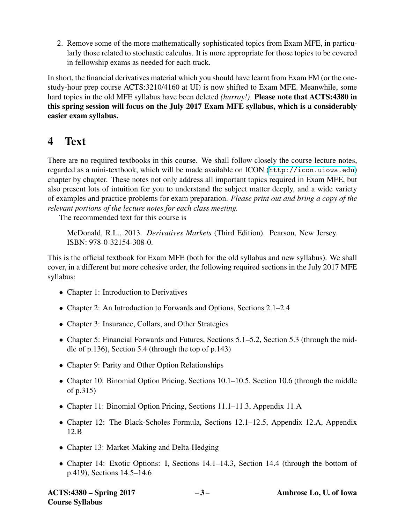2. Remove some of the more mathematically sophisticated topics from Exam MFE, in particularly those related to stochastic calculus. It is more appropriate for those topics to be covered in fellowship exams as needed for each track.

In short, the financial derivatives material which you should have learnt from Exam FM (or the onestudy-hour prep course ACTS:3210/4160 at UI) is now shifted to Exam MFE. Meanwhile, some hard topics in the old MFE syllabus have been deleted *(hurray!)*. Please note that ACTS:4380 in this spring session will focus on the July 2017 Exam MFE syllabus, which is a considerably easier exam syllabus.

### 4 Text

There are no required textbooks in this course. We shall follow closely the course lecture notes, regarded as a mini-textbook, which will be made available on ICON (<http://icon.uiowa.edu>) chapter by chapter. These notes not only address all important topics required in Exam MFE, but also present lots of intuition for you to understand the subject matter deeply, and a wide variety of examples and practice problems for exam preparation. *Please print out and bring a copy of the relevant portions of the lecture notes for each class meeting.*

The recommended text for this course is

McDonald, R.L., 2013. *Derivatives Markets* (Third Edition). Pearson, New Jersey. ISBN: 978-0-32154-308-0.

This is the official textbook for Exam MFE (both for the old syllabus and new syllabus). We shall cover, in a different but more cohesive order, the following required sections in the July 2017 MFE syllabus:

- Chapter 1: Introduction to Derivatives
- Chapter 2: An Introduction to Forwards and Options, Sections 2.1–2.4
- Chapter 3: Insurance, Collars, and Other Strategies
- Chapter 5: Financial Forwards and Futures, Sections 5.1–5.2, Section 5.3 (through the middle of p.136), Section 5.4 (through the top of p.143)
- Chapter 9: Parity and Other Option Relationships
- Chapter 10: Binomial Option Pricing, Sections 10.1–10.5, Section 10.6 (through the middle of p.315)
- Chapter 11: Binomial Option Pricing, Sections 11.1–11.3, Appendix 11.A
- Chapter 12: The Black-Scholes Formula, Sections 12.1–12.5, Appendix 12.A, Appendix 12.B
- Chapter 13: Market-Making and Delta-Hedging
- Chapter 14: Exotic Options: I, Sections 14.1–14.3, Section 14.4 (through the bottom of p.419), Sections 14.5–14.6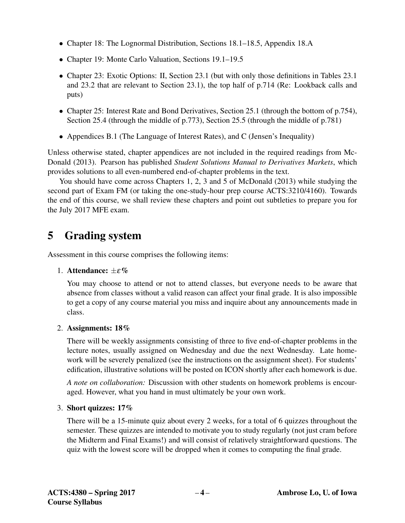- Chapter 18: The Lognormal Distribution, Sections 18.1–18.5, Appendix 18.A
- Chapter 19: Monte Carlo Valuation, Sections 19.1–19.5
- Chapter 23: Exotic Options: II, Section 23.1 (but with only those definitions in Tables 23.1) and 23.2 that are relevant to Section 23.1), the top half of p.714 (Re: Lookback calls and puts)
- Chapter 25: Interest Rate and Bond Derivatives, Section 25.1 (through the bottom of p.754), Section 25.4 (through the middle of p.773), Section 25.5 (through the middle of p.781)
- Appendices B.1 (The Language of Interest Rates), and C (Jensen's Inequality)

Unless otherwise stated, chapter appendices are not included in the required readings from Mc-Donald (2013). Pearson has published *Student Solutions Manual to Derivatives Markets*, which provides solutions to all even-numbered end-of-chapter problems in the text.

You should have come across Chapters 1, 2, 3 and 5 of McDonald (2013) while studying the second part of Exam FM (or taking the one-study-hour prep course ACTS:3210/4160). Towards the end of this course, we shall review these chapters and point out subtleties to prepare you for the July 2017 MFE exam.

## 5 Grading system

Assessment in this course comprises the following items:

### 1. Attendance:  $+\varepsilon\%$

You may choose to attend or not to attend classes, but everyone needs to be aware that absence from classes without a valid reason can affect your final grade. It is also impossible to get a copy of any course material you miss and inquire about any announcements made in class.

### 2. Assignments: 18%

There will be weekly assignments consisting of three to five end-of-chapter problems in the lecture notes, usually assigned on Wednesday and due the next Wednesday. Late homework will be severely penalized (see the instructions on the assignment sheet). For students' edification, illustrative solutions will be posted on ICON shortly after each homework is due.

*A note on collaboration:* Discussion with other students on homework problems is encouraged. However, what you hand in must ultimately be your own work.

### 3. Short quizzes: 17%

There will be a 15-minute quiz about every 2 weeks, for a total of 6 quizzes throughout the semester. These quizzes are intended to motivate you to study regularly (not just cram before the Midterm and Final Exams!) and will consist of relatively straightforward questions. The quiz with the lowest score will be dropped when it comes to computing the final grade.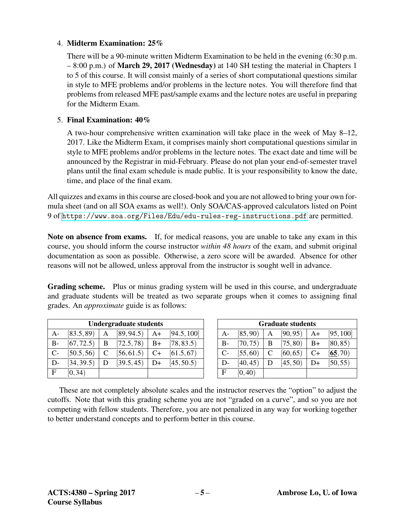#### 4. Midterm Examination: 25%

There will be a 90-minute written Midterm Examination to be held in the evening (6:30 p.m. – 8:00 p.m.) of March 29, 2017 (Wednesday) at 140 SH testing the material in Chapters 1 to 5 of this course. It will consist mainly of a series of short computational questions similar in style to MFE problems and/or problems in the lecture notes. You will therefore find that problems from released MFE past/sample exams and the lecture notes are useful in preparing for the Midterm Exam.

#### 5. Final Examination: 40%

A two-hour comprehensive written examination will take place in the week of May 8–12, 2017. Like the Midterm Exam, it comprises mainly short computational questions similar in style to MFE problems and/or problems in the lecture notes. The exact date and time will be announced by the Registrar in mid-February. Please do not plan your end-of-semester travel plans until the final exam schedule is made public. It is your responsibility to know the date, time, and place of the final exam.

All quizzes and exams in this course are closed-book and you are not allowed to bring your own formula sheet (and on all SOA exams as well!). Only SOA/CAS-approved calculators listed on Point 9 of <https://www.soa.org/Files/Edu/edu-rules-reg-instructions.pdf> are permitted.

Note on absence from exams. If, for medical reasons, you are unable to take any exam in this course, you should inform the course instructor *within 48 hours* of the exam, and submit original documentation as soon as possible. Otherwise, a zero score will be awarded. Absence for other reasons will not be allowed, unless approval from the instructor is sought well in advance.

Grading scheme. Plus or minus grading system will be used in this course, and undergraduate and graduate students will be treated as two separate groups when it comes to assigning final grades. An *approximate* guide is as follows:

| <b>Undergraduate students</b> |            |   |            |      |             |
|-------------------------------|------------|---|------------|------|-------------|
| $A -$                         | [83.5, 89] | А | [89, 94.5] | $A+$ | [94.5, 100] |
| B-                            | [67, 72.5) | B | [72.5, 78] | $B+$ | [78, 83.5)  |
| $C-$                          | [50.5, 56] | C | [56, 61.5] | $C+$ | [61.5, 67]  |
| D-                            | [34, 39.5] | D | [39.5, 45] | D+   | [45, 50.5]  |
| $\mathbf{F}$                  | [0, 34)    |   |            |      |             |

| <b>Graduate students</b> |          |   |          |                |           |
|--------------------------|----------|---|----------|----------------|-----------|
| $A-$                     | [85, 90) | A | [90, 95) | $A+$           | [95, 100] |
| $B-$                     | [70, 75) | B | [75, 80) | $B+$           | [80, 85)  |
| $C-$                     | [55, 60) | C | [60, 65) | $C+$           | [65, 70)  |
| D-                       | [40, 45) | D | [45, 50) | D <sup>+</sup> | [50, 55)  |
| F.                       | [0, 40)  |   |          |                |           |

These are not completely absolute scales and the instructor reserves the "option" to adjust the cutoffs. Note that with this grading scheme you are not "graded on a curve", and so you are not competing with fellow students. Therefore, you are not penalized in any way for working together to better understand concepts and to perform better in this course.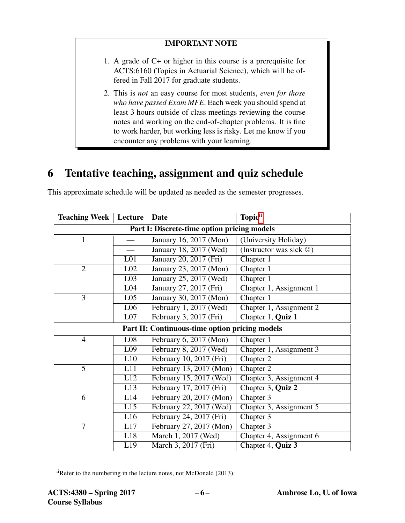### IMPORTANT NOTE

- 1. A grade of C+ or higher in this course is a prerequisite for ACTS:6160 (Topics in Actuarial Science), which will be offered in Fall 2017 for graduate students.
- 2. This is *not* an easy course for most students, *even for those who have passed Exam MFE*. Each week you should spend at least 3 hours outside of class meetings reviewing the course notes and working on the end-of-chapter problems. It is fine to work harder, but working less is risky. Let me know if you encounter any problems with your learning.

## 6 Tentative teaching, assignment and quiz schedule

| <b>Teaching Week</b>                           | Lecture          | <b>Date</b>             | Topic <sup>ii</sup>                   |  |  |  |
|------------------------------------------------|------------------|-------------------------|---------------------------------------|--|--|--|
| Part I: Discrete-time option pricing models    |                  |                         |                                       |  |  |  |
| 1                                              |                  | January 16, 2017 (Mon)  | (University Holiday)                  |  |  |  |
|                                                |                  | January 18, 2017 (Wed)  | (Instructor was sick $\circledcirc$ ) |  |  |  |
|                                                | L <sub>01</sub>  | January 20, 2017 (Fri)  | Chapter 1                             |  |  |  |
| $\overline{2}$                                 | L <sub>02</sub>  | January 23, 2017 (Mon)  | Chapter 1                             |  |  |  |
|                                                | L <sub>03</sub>  | January 25, 2017 (Wed)  | Chapter 1                             |  |  |  |
|                                                | L <sub>04</sub>  | January 27, 2017 (Fri)  | Chapter 1, Assignment 1               |  |  |  |
| 3                                              | L <sub>05</sub>  | January 30, 2017 (Mon)  | Chapter 1                             |  |  |  |
|                                                | L <sub>06</sub>  | February 1, 2017 (Wed)  | Chapter 1, Assignment 2               |  |  |  |
|                                                | L07              | February 3, 2017 (Fri)  | Chapter 1, Quiz 1                     |  |  |  |
| Part II: Continuous-time option pricing models |                  |                         |                                       |  |  |  |
| $\overline{4}$                                 | L08              | February 6, 2017 (Mon)  | Chapter 1                             |  |  |  |
|                                                | L <sub>09</sub>  | February 8, 2017 (Wed)  | Chapter 1, Assignment 3               |  |  |  |
|                                                | L10              | February 10, 2017 (Fri) | Chapter 2                             |  |  |  |
| 5                                              | L11              | February 13, 2017 (Mon) | Chapter 2                             |  |  |  |
|                                                | L12              | February 15, 2017 (Wed) | Chapter 3, Assignment 4               |  |  |  |
|                                                | L13              | February 17, 2017 (Fri) | Chapter 3, Quiz 2                     |  |  |  |
| 6                                              | L14              | February 20, 2017 (Mon) | Chapter 3                             |  |  |  |
|                                                | $\overline{L15}$ | February 22, 2017 (Wed) | Chapter 3, Assignment 5               |  |  |  |
|                                                | L16              | February 24, 2017 (Fri) | Chapter 3                             |  |  |  |
| $\overline{7}$                                 | L17              | February 27, 2017 (Mon) | Chapter 3                             |  |  |  |
|                                                | L18              | March 1, 2017 (Wed)     | Chapter 4, Assignment 6               |  |  |  |
|                                                | L19              | March 3, 2017 (Fri)     | Chapter 4, Quiz 3                     |  |  |  |

This approximate schedule will be updated as needed as the semester progresses.

<span id="page-5-0"></span>iiRefer to the numbering in the lecture notes, not McDonald (2013).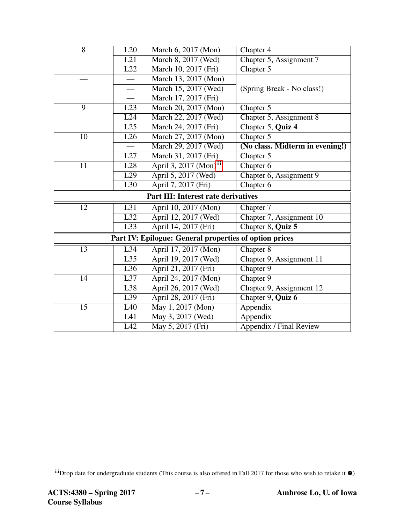| $\overline{8}$                                         | L20              | March 6, 2017 (Mon)                | Chapter 4                       |  |  |  |
|--------------------------------------------------------|------------------|------------------------------------|---------------------------------|--|--|--|
|                                                        | L21              | March 8, 2017 (Wed)                | Chapter 5, Assignment 7         |  |  |  |
|                                                        | $\overline{L22}$ | March 10, 2017 (Fri)               | Chapter 5                       |  |  |  |
|                                                        |                  | March 13, 2017 (Mon)               |                                 |  |  |  |
|                                                        |                  | March 15, 2017 (Wed)               | (Spring Break - No class!)      |  |  |  |
|                                                        |                  | March 17, 2017 (Fri)               |                                 |  |  |  |
| 9                                                      | L23              | March 20, 2017 (Mon)               | Chapter 5                       |  |  |  |
|                                                        | L24              | March 22, 2017 (Wed)               | Chapter 5, Assignment 8         |  |  |  |
|                                                        | L25              | March 24, 2017 (Fri)               | Chapter 5, Quiz 4               |  |  |  |
| 10                                                     | L26              | March 27, 2017 (Mon)               | Chapter 5                       |  |  |  |
|                                                        |                  | March 29, 2017 (Wed)               | (No class. Midterm in evening!) |  |  |  |
|                                                        | L27              | March 31, 2017 (Fri)               | Chapter 5                       |  |  |  |
| 11                                                     | L28              | April 3, 2017 (Mon) <sup>iii</sup> | Chapter 6                       |  |  |  |
|                                                        | L29              | April 5, 2017 (Wed)                | Chapter 6, Assignment 9         |  |  |  |
|                                                        | L30              | April 7, 2017 (Fri)                | Chapter 6                       |  |  |  |
| <b>Part III: Interest rate derivatives</b>             |                  |                                    |                                 |  |  |  |
| 12                                                     | L31              | April 10, 2017 (Mon)               | Chapter 7                       |  |  |  |
|                                                        | $\overline{L32}$ | April 12, 2017 (Wed)               | Chapter 7, Assignment 10        |  |  |  |
|                                                        | $\overline{L33}$ | April 14, 2017 (Fri)               | Chapter 8, Quiz 5               |  |  |  |
| Part IV: Epilogue: General properties of option prices |                  |                                    |                                 |  |  |  |
| 13                                                     | L34              | April 17, 2017 (Mon)               | Chapter 8                       |  |  |  |
|                                                        | L35              | April 19, 2017 (Wed)               | Chapter 9, Assignment 11        |  |  |  |
|                                                        | $\overline{L36}$ | April 21, 2017 (Fri)               | Chapter 9                       |  |  |  |
| 14                                                     | L37              | April 24, 2017 (Mon)               | Chapter 9                       |  |  |  |
|                                                        | L38              | April 26, 2017 (Wed)               | Chapter 9, Assignment 12        |  |  |  |
|                                                        | L39              | April 28, 2017 (Fri)               | Chapter 9, Quiz 6               |  |  |  |
| 15                                                     | L40              | May 1, 2017 (Mon)                  | Appendix                        |  |  |  |
|                                                        | L41              | May 3, 2017 (Wed)                  | Appendix                        |  |  |  |
|                                                        | L42              | May 5, 2017 (Fri)                  | Appendix / Final Review         |  |  |  |

<span id="page-6-0"></span> $\frac{1}{10}$  iiiDrop date for undergraduate students (This course is also offered in Fall 2017 for those who wish to retake it  $\bullet$ )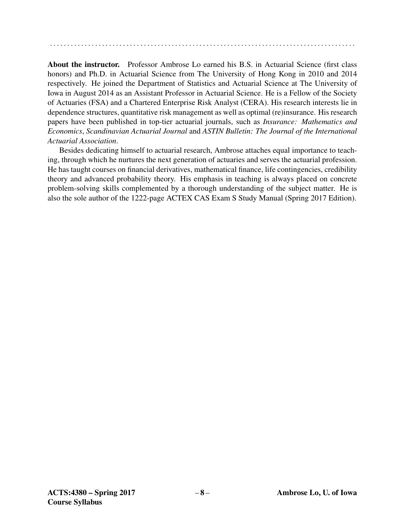. . . . . . . . . . . . . . . . . . . . . . . . . . . . . . . . . . . . . . . . . . . . . . . . . . . . . . . . . . . . . . . . . . . . . . . . . . . . . . . . . . . . . . . .

About the instructor. Professor Ambrose Lo earned his B.S. in Actuarial Science (first class honors) and Ph.D. in Actuarial Science from The University of Hong Kong in 2010 and 2014 respectively. He joined the Department of Statistics and Actuarial Science at The University of Iowa in August 2014 as an Assistant Professor in Actuarial Science. He is a Fellow of the Society of Actuaries (FSA) and a Chartered Enterprise Risk Analyst (CERA). His research interests lie in dependence structures, quantitative risk management as well as optimal (re)insurance. His research papers have been published in top-tier actuarial journals, such as *Insurance: Mathematics and Economics*, *Scandinavian Actuarial Journal* and *ASTIN Bulletin: The Journal of the International Actuarial Association*.

Besides dedicating himself to actuarial research, Ambrose attaches equal importance to teaching, through which he nurtures the next generation of actuaries and serves the actuarial profession. He has taught courses on financial derivatives, mathematical finance, life contingencies, credibility theory and advanced probability theory. His emphasis in teaching is always placed on concrete problem-solving skills complemented by a thorough understanding of the subject matter. He is also the sole author of the 1222-page ACTEX CAS Exam S Study Manual (Spring 2017 Edition).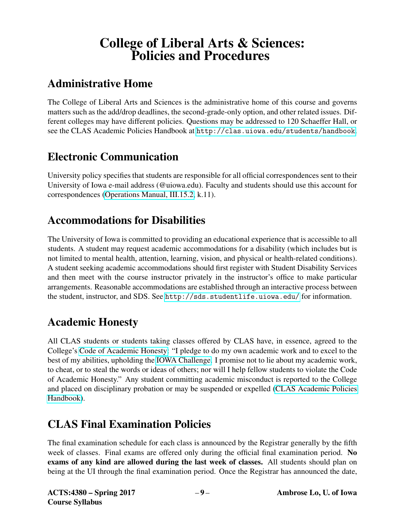# College of Liberal Arts & Sciences: Policies and Procedures

# Administrative Home

The College of Liberal Arts and Sciences is the administrative home of this course and governs matters such as the add/drop deadlines, the second-grade-only option, and other related issues. Different colleges may have different policies. Questions may be addressed to 120 Schaeffer Hall, or see the CLAS Academic Policies Handbook at <http://clas.uiowa.edu/students/handbook>.

## Electronic Communication

University policy specifies that students are responsible for all official correspondences sent to their University of Iowa e-mail address (@uiowa.edu). Faculty and students should use this account for correspondences [\(Operations Manual, III.15.2,](https://opsmanual.uiowa.edu/human-resources/professional-ethics-and-academic-responsibility#15.2) k.11).

## Accommodations for Disabilities

The University of Iowa is committed to providing an educational experience that is accessible to all students. A student may request academic accommodations for a disability (which includes but is not limited to mental health, attention, learning, vision, and physical or health-related conditions). A student seeking academic accommodations should first register with Student Disability Services and then meet with the course instructor privately in the instructor's office to make particular arrangements. Reasonable accommodations are established through an interactive process between the student, instructor, and SDS. See <http://sds.studentlife.uiowa.edu/> for information.

## Academic Honesty

All CLAS students or students taking classes offered by CLAS have, in essence, agreed to the College's [Code of Academic Honesty:](https://clas.uiowa.edu/students/handbook/academic-fraud-honor-code) "I pledge to do my own academic work and to excel to the best of my abilities, upholding the [IOWA Challenge.](https://newstudents.uiowa.edu/iowa-challenge) I promise not to lie about my academic work, to cheat, or to steal the words or ideas of others; nor will I help fellow students to violate the Code of Academic Honesty." Any student committing academic misconduct is reported to the College and placed on disciplinary probation or may be suspended or expelled [\(CLAS Academic Policies](https://clas.uiowa.edu/students/handbook) [Handbook\)](https://clas.uiowa.edu/students/handbook).

# CLAS Final Examination Policies

The final examination schedule for each class is announced by the Registrar generally by the fifth week of classes. Final exams are offered only during the official final examination period. No exams of any kind are allowed during the last week of classes. All students should plan on being at the UI through the final examination period. Once the Registrar has announced the date,